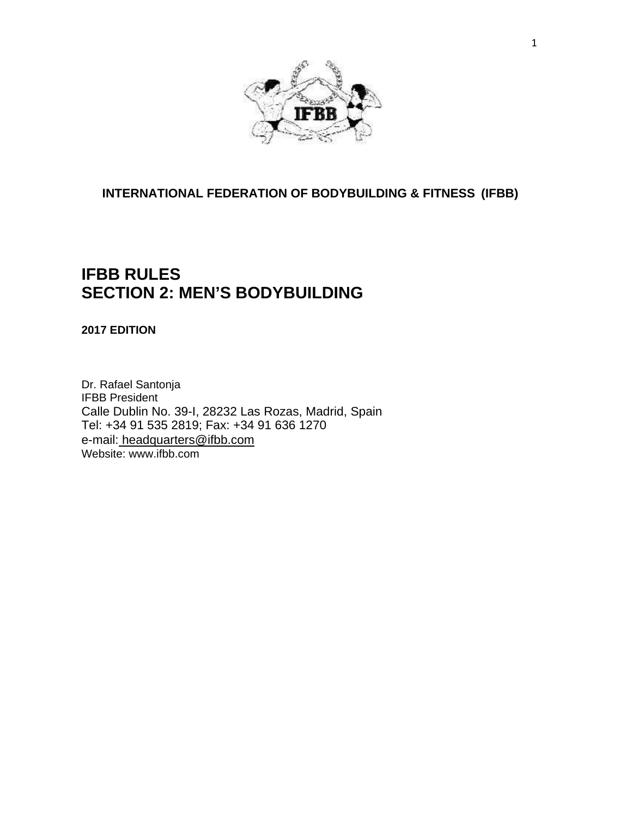

# **INTERNATIONAL FEDERATION OF BODYBUILDING & FITNESS (IFBB)**

# **IFBB RULES SECTION 2: MEN'S BODYBUILDING**

**2017 EDITION**

Dr. Rafael Santonja IFBB President Calle Dublin No. 39-I, 28232 Las Rozas, Madrid, Spain Tel: +34 91 535 2819; Fax: +34 91 636 1270 e-mail: [headquarters@ifbb.com](mailto:%20headquarters@ifbb.com) Website: [www.ifbb.com](http://www.ifbb.com/)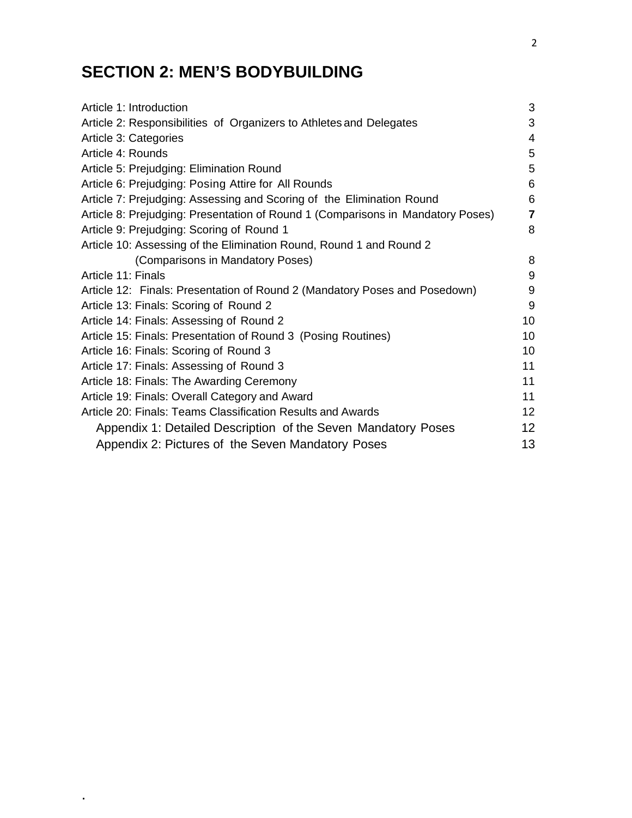# **SECTION 2: MEN'S BODYBUILDING**

.

| Article 1: Introduction                                                         | 3              |
|---------------------------------------------------------------------------------|----------------|
| Article 2: Responsibilities of Organizers to Athletes and Delegates             | 3              |
| Article 3: Categories                                                           | $\overline{4}$ |
| Article 4: Rounds                                                               | 5              |
| Article 5: Prejudging: Elimination Round                                        | 5              |
| Article 6: Prejudging: Posing Attire for All Rounds                             | 6              |
| Article 7: Prejudging: Assessing and Scoring of the Elimination Round           | 6              |
| Article 8: Prejudging: Presentation of Round 1 (Comparisons in Mandatory Poses) | $\overline{7}$ |
| Article 9: Prejudging: Scoring of Round 1                                       | 8              |
| Article 10: Assessing of the Elimination Round, Round 1 and Round 2             |                |
| (Comparisons in Mandatory Poses)                                                | 8              |
| Article 11: Finals                                                              | 9              |
| Article 12: Finals: Presentation of Round 2 (Mandatory Poses and Posedown)      | 9              |
| Article 13: Finals: Scoring of Round 2                                          | 9              |
| Article 14: Finals: Assessing of Round 2                                        | 10             |
| Article 15: Finals: Presentation of Round 3 (Posing Routines)                   | 10             |
| Article 16: Finals: Scoring of Round 3                                          | 10             |
| Article 17: Finals: Assessing of Round 3                                        | 11             |
| Article 18: Finals: The Awarding Ceremony                                       | 11             |
| Article 19: Finals: Overall Category and Award                                  | 11             |
| Article 20: Finals: Teams Classification Results and Awards                     | 12             |
| Appendix 1: Detailed Description of the Seven Mandatory Poses                   | 12             |
| Appendix 2: Pictures of the Seven Mandatory Poses                               | 13             |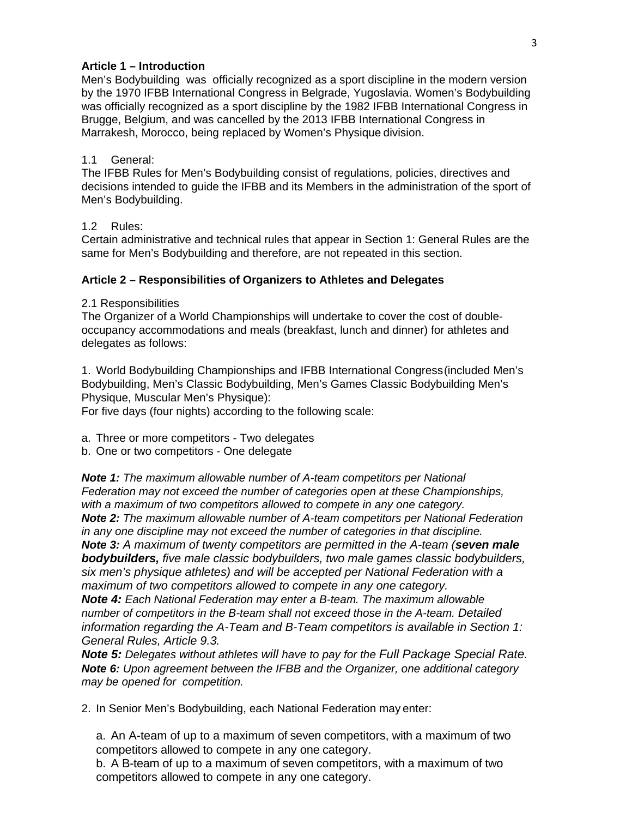# **Article 1 – Introduction**

Men's Bodybuilding was officially recognized as a sport discipline in the modern version by the 1970 IFBB International Congress in Belgrade, Yugoslavia. Women's Bodybuilding was officially recognized as a sport discipline by the 1982 IFBB International Congress in Brugge, Belgium, and was cancelled by the 2013 IFBB International Congress in Marrakesh, Morocco, being replaced by Women's Physique division.

#### 1.1 General:

The IFBB Rules for Men's Bodybuilding consist of regulations, policies, directives and decisions intended to guide the IFBB and its Members in the administration of the sport of Men's Bodybuilding.

#### 1.2 Rules:

Certain administrative and technical rules that appear in Section 1: General Rules are the same for Men's Bodybuilding and therefore, are not repeated in this section.

#### **Article 2 – Responsibilities of Organizers to Athletes and Delegates**

2.1 Responsibilities

The Organizer of a World Championships will undertake to cover the cost of doubleoccupancy accommodations and meals (breakfast, lunch and dinner) for athletes and delegates as follows:

1. World Bodybuilding Championships and IFBB International Congress(included Men's Bodybuilding, Men's Classic Bodybuilding, Men's Games Classic Bodybuilding Men's Physique, Muscular Men's Physique):

For five days (four nights) according to the following scale:

a. Three or more competitors - Two delegates

b. One or two competitors - One delegate

*Note 1: The maximum allowable number of A-team competitors per National Federation may not exceed the number of categories open at these Championships, with a maximum of two competitors allowed to compete in any one category. Note 2: The maximum allowable number of A-team competitors per National Federation in any one discipline may not exceed the number of categories in that discipline. Note 3: A maximum of twenty competitors are permitted in the A-team (seven male bodybuilders, five male classic bodybuilders, two male games classic bodybuilders, six men's physique athletes) and will be accepted per National Federation with a maximum of two competitors allowed to compete in any one category. Note 4: Each National Federation may enter a B-team. The maximum allowable* 

*number of competitors in the B-team shall not exceed those in the A-team. Detailed information regarding the A-Team and B-Team competitors is available in Section 1: General Rules, Article 9.3.*

*Note 5: Delegates without athletes will have to pay for the Full Package Special Rate. Note 6: Upon agreement between the IFBB and the Organizer, one additional category may be opened for competition.*

2. In Senior Men's Bodybuilding, each National Federation may enter:

a. An A-team of up to a maximum of seven competitors, with a maximum of two competitors allowed to compete in any one category.

b. A B-team of up to a maximum of seven competitors, with a maximum of two competitors allowed to compete in any one category.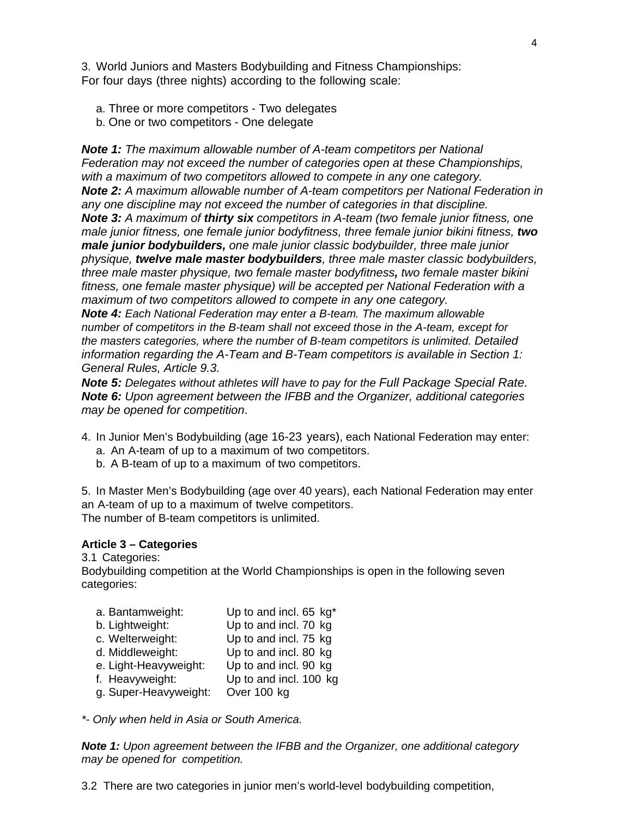3. World Juniors and Masters Bodybuilding and Fitness Championships: For four days (three nights) according to the following scale:

- a. Three or more competitors Two delegates
- b. One or two competitors One delegate

*Note 1: The maximum allowable number of A-team competitors per National Federation may not exceed the number of categories open at these Championships, with a maximum of two competitors allowed to compete in any one category. Note 2: A maximum allowable number of A-team competitors per National Federation in any one discipline may not exceed the number of categories in that discipline. Note 3: A maximum of thirty six competitors in A-team (two female junior fitness, one male junior fitness, one female junior bodyfitness, three female junior bikini fitness, two male junior bodybuilders, one male junior classic bodybuilder, three male junior physique, twelve male master bodybuilders, three male master classic bodybuilders, three male master physique, two female master bodyfitness, two female master bikini fitness, one female master physique) will be accepted per National Federation with a maximum of two competitors allowed to compete in any one category.*

*Note 4: Each National Federation may enter a B-team. The maximum allowable number of competitors in the B-team shall not exceed those in the A-team, except for the masters categories, where the number of B-team competitors is unlimited. Detailed information regarding the A-Team and B-Team competitors is available in Section 1: General Rules, Article 9.3.*

*Note 5: Delegates without athletes will have to pay for the Full Package Special Rate. Note 6: Upon agreement between the IFBB and the Organizer, additional categories may be opened for competition*.

- 4. In Junior Men's Bodybuilding (age 16-23 years), each National Federation may enter:
	- a. An A-team of up to a maximum of two competitors.
	- b. A B-team of up to a maximum of two competitors.

5. In Master Men's Bodybuilding (age over 40 years), each National Federation may enter an A-team of up to a maximum of twelve competitors. The number of B-team competitors is unlimited.

#### **Article 3 – Categories**

3.1 Categories:

Bodybuilding competition at the World Championships is open in the following seven categories:

| a. Bantamweight:      | Up to and incl. 65 kg* |
|-----------------------|------------------------|
| b. Lightweight:       | Up to and incl. 70 kg  |
| c. Welterweight:      | Up to and incl. 75 kg  |
| d. Middleweight:      | Up to and incl. 80 kg  |
| e. Light-Heavyweight: | Up to and incl. 90 kg  |
| f. Heavyweight:       | Up to and incl. 100 kg |
| g. Super-Heavyweight: | Over 100 kg            |

*\*- Only when held in Asia or South America.*

*Note 1: Upon agreement between the IFBB and the Organizer, one additional category may be opened for competition.*

3.2 There are two categories in junior men's world-level bodybuilding competition,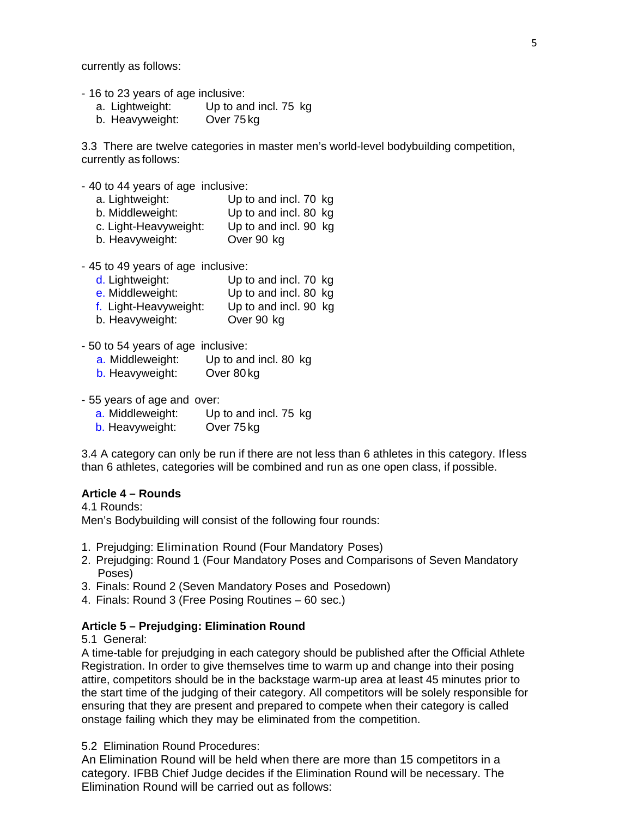currently as follows:

- 16 to 23 years of age inclusive:
	- a. Lightweight: Up to and incl. 75 kg
	- b. Heavyweight: Over 75kg

3.3 There are twelve categories in master men's world-level bodybuilding competition, currently as follows:

- 40 to 44 years of age inclusive:
	- a. Lightweight: Up to and incl. 70 kg b. Middleweight: Up to and incl. 80 kg c. Light-Heavyweight: Up to and incl. 90 kg
	- b. Heavyweight: Over 90 kg
- 45 to 49 years of age inclusive:
	- d. Lightweight: Up to and incl. 70 kg
	- e. Middleweight: Up to and incl. 80 kg
	- f. Light-Heavyweight: Up to and incl. 90 kg
	- b. Heavyweight: Over 90 kg
- 50 to 54 years of age inclusive:
	- a. Middleweight: Up to and incl. 80 kg
	- b. Heavyweight: Over 80 kg
- 55 years of age and over:
	- a. Middleweight: Up to and incl. 75 kg
	- b. Heavyweight: Over 75 kg

3.4 A category can only be run if there are not less than 6 athletes in this category. If less than 6 athletes, categories will be combined and run as one open class, if possible.

#### **Article 4 – Rounds**

4.1 Rounds: Men's Bodybuilding will consist of the following four rounds:

- 1. Prejudging: Elimination Round (Four Mandatory Poses)
- 2. Prejudging: Round 1 (Four Mandatory Poses and Comparisons of Seven Mandatory Poses)
- 3. Finals: Round 2 (Seven Mandatory Poses and Posedown)
- 4. Finals: Round 3 (Free Posing Routines 60 sec.)

#### **Article 5 – Prejudging: Elimination Round**

#### 5.1 General:

A time-table for prejudging in each category should be published after the Official Athlete Registration. In order to give themselves time to warm up and change into their posing attire, competitors should be in the backstage warm-up area at least 45 minutes prior to the start time of the judging of their category. All competitors will be solely responsible for ensuring that they are present and prepared to compete when their category is called onstage failing which they may be eliminated from the competition.

5.2 Elimination Round Procedures:

An Elimination Round will be held when there are more than 15 competitors in a category. IFBB Chief Judge decides if the Elimination Round will be necessary. The Elimination Round will be carried out as follows: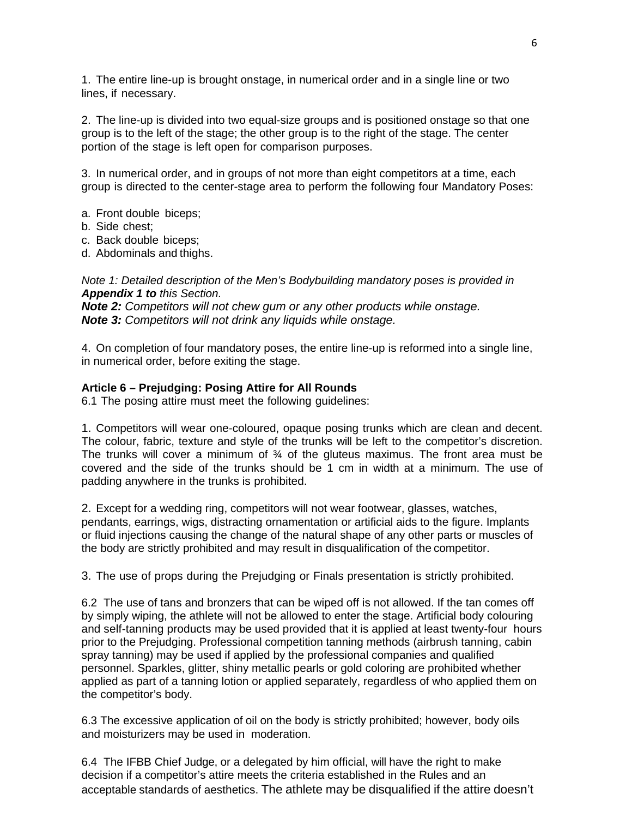1. The entire line-up is brought onstage, in numerical order and in a single line or two lines, if necessary.

2. The line-up is divided into two equal-size groups and is positioned onstage so that one group is to the left of the stage; the other group is to the right of the stage. The center portion of the stage is left open for comparison purposes.

3. In numerical order, and in groups of not more than eight competitors at a time, each group is directed to the center-stage area to perform the following four Mandatory Poses:

- a. Front double biceps;
- b. Side chest;
- c. Back double biceps;
- d. Abdominals and thighs.

*Note 1: Detailed description of the Men's Bodybuilding mandatory poses is provided in Appendix 1 to this Section. Note 2: Competitors will not chew gum or any other products while onstage.*

*Note 3: Competitors will not drink any liquids while onstage.*

4. On completion of four mandatory poses, the entire line-up is reformed into a single line, in numerical order, before exiting the stage.

#### **Article 6 – Prejudging: Posing Attire for All Rounds**

6.1 The posing attire must meet the following guidelines:

1. Competitors will wear one-coloured, opaque posing trunks which are clean and decent. The colour, fabric, texture and style of the trunks will be left to the competitor's discretion. The trunks will cover a minimum of  $\frac{3}{4}$  of the gluteus maximus. The front area must be covered and the side of the trunks should be 1 cm in width at a minimum. The use of padding anywhere in the trunks is prohibited.

2. Except for a wedding ring, competitors will not wear footwear, glasses, watches, pendants, earrings, wigs, distracting ornamentation or artificial aids to the figure. Implants or fluid injections causing the change of the natural shape of any other parts or muscles of the body are strictly prohibited and may result in disqualification of the competitor.

3. The use of props during the Prejudging or Finals presentation is strictly prohibited.

6.2 The use of tans and bronzers that can be wiped off is not allowed. If the tan comes off by simply wiping, the athlete will not be allowed to enter the stage. Artificial body colouring and self-tanning products may be used provided that it is applied at least twenty-four hours prior to the Prejudging. Professional competition tanning methods (airbrush tanning, cabin spray tanning) may be used if applied by the professional companies and qualified personnel. Sparkles, glitter, shiny metallic pearls or gold coloring are prohibited whether applied as part of a tanning lotion or applied separately, regardless of who applied them on the competitor's body.

6.3 The excessive application of oil on the body is strictly prohibited; however, body oils and moisturizers may be used in moderation.

6.4 The IFBB Chief Judge, or a delegated by him official, will have the right to make decision if a competitor's attire meets the criteria established in the Rules and an acceptable standards of aesthetics. The athlete may be disqualified if the attire doesn't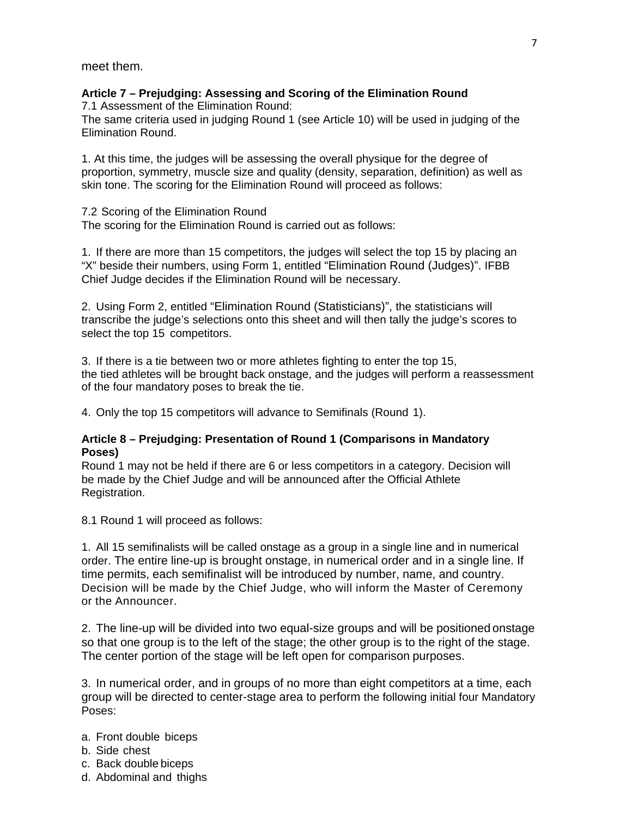meet them.

# **Article 7 – Prejudging: Assessing and Scoring of the Elimination Round**

7.1 Assessment of the Elimination Round:

The same criteria used in judging Round 1 (see Article 10) will be used in judging of the Elimination Round.

1. At this time, the judges will be assessing the overall physique for the degree of proportion, symmetry, muscle size and quality (density, separation, definition) as well as skin tone. The scoring for the Elimination Round will proceed as follows:

7.2 Scoring of the Elimination Round The scoring for the Elimination Round is carried out as follows:

1. If there are more than 15 competitors, the judges will select the top 15 by placing an "X" beside their numbers, using Form 1, entitled "Elimination Round (Judges)". IFBB Chief Judge decides if the Elimination Round will be necessary.

2. Using Form 2, entitled "Elimination Round (Statisticians)", the statisticians will transcribe the judge's selections onto this sheet and will then tally the judge's scores to select the top 15 competitors.

3. If there is a tie between two or more athletes fighting to enter the top 15, the tied athletes will be brought back onstage, and the judges will perform a reassessment of the four mandatory poses to break the tie.

4. Only the top 15 competitors will advance to Semifinals (Round 1).

# **Article 8 – Prejudging: Presentation of Round 1 (Comparisons in Mandatory Poses)**

Round 1 may not be held if there are 6 or less competitors in a category. Decision will be made by the Chief Judge and will be announced after the Official Athlete Registration.

8.1 Round 1 will proceed as follows:

1. All 15 semifinalists will be called onstage as a group in a single line and in numerical order. The entire line-up is brought onstage, in numerical order and in a single line. If time permits, each semifinalist will be introduced by number, name, and country. Decision will be made by the Chief Judge, who will inform the Master of Ceremony or the Announcer.

2. The line-up will be divided into two equal-size groups and will be positioned onstage so that one group is to the left of the stage; the other group is to the right of the stage. The center portion of the stage will be left open for comparison purposes.

3. In numerical order, and in groups of no more than eight competitors at a time, each group will be directed to center-stage area to perform the following initial four Mandatory Poses:

- a. Front double biceps
- b. Side chest
- c. Back double biceps
- d. Abdominal and thighs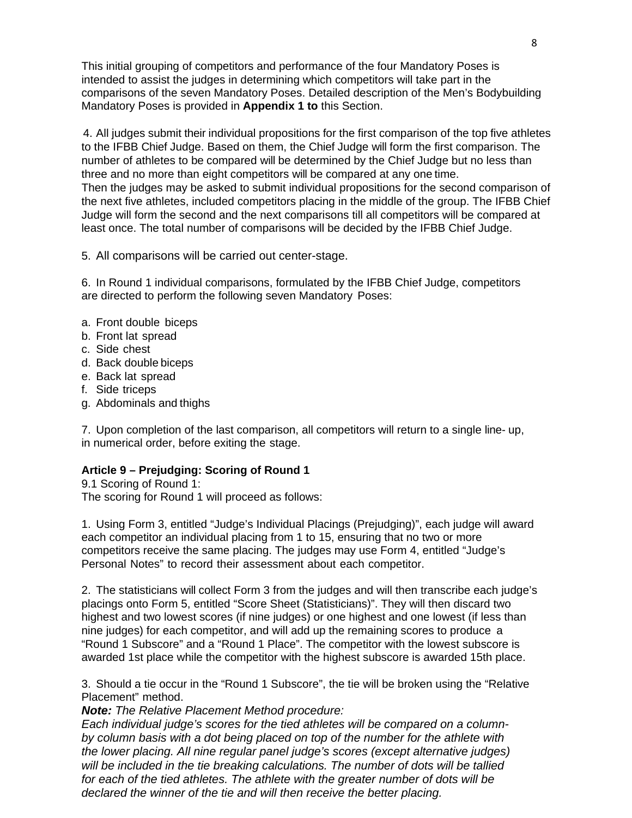This initial grouping of competitors and performance of the four Mandatory Poses is intended to assist the judges in determining which competitors will take part in the comparisons of the seven Mandatory Poses. Detailed description of the Men's Bodybuilding Mandatory Poses is provided in **Appendix 1 to** this Section.

4. All judges submit their individual propositions for the first comparison of the top five athletes to the IFBB Chief Judge. Based on them, the Chief Judge will form the first comparison. The number of athletes to be compared will be determined by the Chief Judge but no less than three and no more than eight competitors will be compared at any one time. Then the judges may be asked to submit individual propositions for the second comparison of the next five athletes, included competitors placing in the middle of the group. The IFBB Chief Judge will form the second and the next comparisons till all competitors will be compared at least once. The total number of comparisons will be decided by the IFBB Chief Judge.

5. All comparisons will be carried out center-stage.

6. In Round 1 individual comparisons, formulated by the IFBB Chief Judge, competitors are directed to perform the following seven Mandatory Poses:

- a. Front double biceps
- b. Front lat spread
- c. Side chest
- d. Back double biceps
- e. Back lat spread
- f. Side triceps
- g. Abdominals and thighs

7. Upon completion of the last comparison, all competitors will return to a single line- up, in numerical order, before exiting the stage.

# **Article 9 – Prejudging: Scoring of Round 1**

9.1 Scoring of Round 1: The scoring for Round 1 will proceed as follows:

1. Using Form 3, entitled "Judge's Individual Placings (Prejudging)", each judge will award each competitor an individual placing from 1 to 15, ensuring that no two or more competitors receive the same placing. The judges may use Form 4, entitled "Judge's Personal Notes" to record their assessment about each competitor.

2. The statisticians will collect Form 3 from the judges and will then transcribe each judge's placings onto Form 5, entitled "Score Sheet (Statisticians)". They will then discard two highest and two lowest scores (if nine judges) or one highest and one lowest (if less than nine judges) for each competitor, and will add up the remaining scores to produce a "Round 1 Subscore" and a "Round 1 Place". The competitor with the lowest subscore is awarded 1st place while the competitor with the highest subscore is awarded 15th place.

3. Should a tie occur in the "Round 1 Subscore", the tie will be broken using the "Relative Placement" method.

*Note: The Relative Placement Method procedure:*

*Each individual judge's scores for the tied athletes will be compared on a columnby column basis with a dot being placed on top of the number for the athlete with the lower placing. All nine regular panel judge's scores (except alternative judges) will be included in the tie breaking calculations. The number of dots will be tallied for each of the tied athletes. The athlete with the greater number of dots will be declared the winner of the tie and will then receive the better placing.*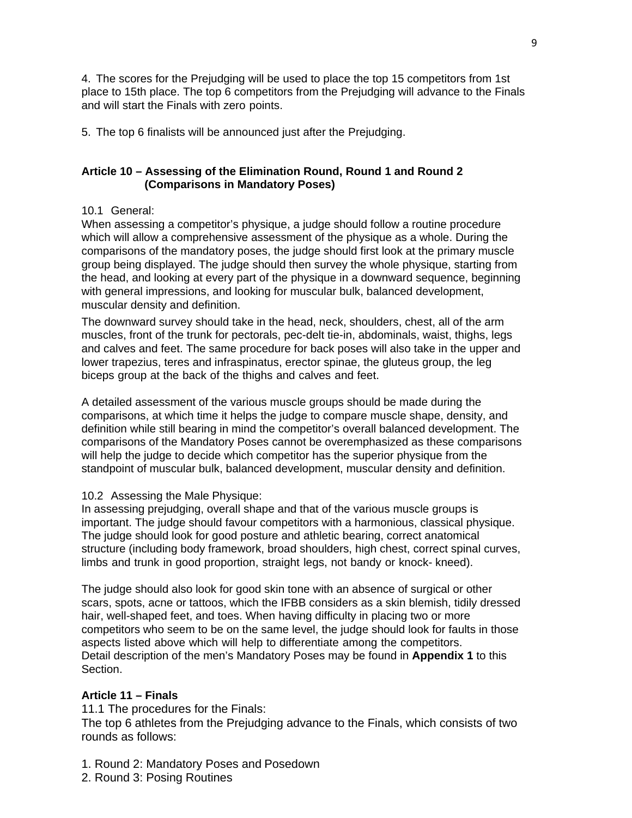4. The scores for the Prejudging will be used to place the top 15 competitors from 1st place to 15th place. The top 6 competitors from the Prejudging will advance to the Finals and will start the Finals with zero points.

5. The top 6 finalists will be announced just after the Prejudging.

# **Article 10 – Assessing of the Elimination Round, Round 1 and Round 2 (Comparisons in Mandatory Poses)**

# 10.1 General:

When assessing a competitor's physique, a judge should follow a routine procedure which will allow a comprehensive assessment of the physique as a whole. During the comparisons of the mandatory poses, the judge should first look at the primary muscle group being displayed. The judge should then survey the whole physique, starting from the head, and looking at every part of the physique in a downward sequence, beginning with general impressions, and looking for muscular bulk, balanced development, muscular density and definition.

The downward survey should take in the head, neck, shoulders, chest, all of the arm muscles, front of the trunk for pectorals, pec-delt tie-in, abdominals, waist, thighs, legs and calves and feet. The same procedure for back poses will also take in the upper and lower trapezius, teres and infraspinatus, erector spinae, the gluteus group, the leg biceps group at the back of the thighs and calves and feet.

A detailed assessment of the various muscle groups should be made during the comparisons, at which time it helps the judge to compare muscle shape, density, and definition while still bearing in mind the competitor's overall balanced development. The comparisons of the Mandatory Poses cannot be overemphasized as these comparisons will help the judge to decide which competitor has the superior physique from the standpoint of muscular bulk, balanced development, muscular density and definition.

# 10.2 Assessing the Male Physique:

In assessing prejudging, overall shape and that of the various muscle groups is important. The judge should favour competitors with a harmonious, classical physique. The judge should look for good posture and athletic bearing, correct anatomical structure (including body framework, broad shoulders, high chest, correct spinal curves, limbs and trunk in good proportion, straight legs, not bandy or knock- kneed).

The judge should also look for good skin tone with an absence of surgical or other scars, spots, acne or tattoos, which the IFBB considers as a skin blemish, tidily dressed hair, well-shaped feet, and toes. When having difficulty in placing two or more competitors who seem to be on the same level, the judge should look for faults in those aspects listed above which will help to differentiate among the competitors. Detail description of the men's Mandatory Poses may be found in **Appendix 1** to this Section.

# **Article 11 – Finals**

11.1 The procedures for the Finals:

The top 6 athletes from the Prejudging advance to the Finals, which consists of two rounds as follows:

- 1. Round 2: Mandatory Poses and Posedown
- 2. Round 3: Posing Routines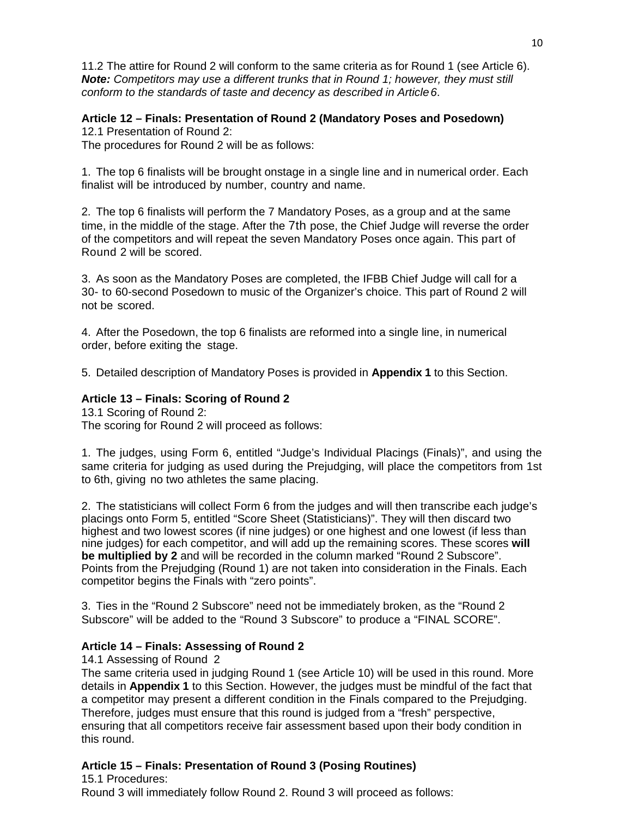11.2 The attire for Round 2 will conform to the same criteria as for Round 1 (see Article 6). *Note: Competitors may use a different trunks that in Round 1; however, they must still conform to the standards of taste and decency as described in Article6*.

# **Article 12 – Finals: Presentation of Round 2 (Mandatory Poses and Posedown)**

12.1 Presentation of Round 2: The procedures for Round 2 will be as follows:

1. The top 6 finalists will be brought onstage in a single line and in numerical order. Each finalist will be introduced by number, country and name.

2. The top 6 finalists will perform the 7 Mandatory Poses, as a group and at the same time, in the middle of the stage. After the 7th pose, the Chief Judge will reverse the order of the competitors and will repeat the seven Mandatory Poses once again. This part of Round 2 will be scored.

3. As soon as the Mandatory Poses are completed, the IFBB Chief Judge will call for a 30- to 60-second Posedown to music of the Organizer's choice. This part of Round 2 will not be scored.

4. After the Posedown, the top 6 finalists are reformed into a single line, in numerical order, before exiting the stage.

5. Detailed description of Mandatory Poses is provided in **Appendix 1** to this Section.

#### **Article 13 – Finals: Scoring of Round 2**

13.1 Scoring of Round 2:

The scoring for Round 2 will proceed as follows:

1. The judges, using Form 6, entitled "Judge's Individual Placings (Finals)", and using the same criteria for judging as used during the Prejudging, will place the competitors from 1st to 6th, giving no two athletes the same placing.

2. The statisticians will collect Form 6 from the judges and will then transcribe each judge's placings onto Form 5, entitled "Score Sheet (Statisticians)". They will then discard two highest and two lowest scores (if nine judges) or one highest and one lowest (if less than nine judges) for each competitor, and will add up the remaining scores. These scores **will be multiplied by 2** and will be recorded in the column marked "Round 2 Subscore". Points from the Prejudging (Round 1) are not taken into consideration in the Finals. Each competitor begins the Finals with "zero points".

3. Ties in the "Round 2 Subscore" need not be immediately broken, as the "Round 2 Subscore" will be added to the "Round 3 Subscore" to produce a "FINAL SCORE".

# **Article 14 – Finals: Assessing of Round 2**

14.1 Assessing of Round 2

The same criteria used in judging Round 1 (see Article 10) will be used in this round. More details in **Appendix 1** to this Section. However, the judges must be mindful of the fact that a competitor may present a different condition in the Finals compared to the Prejudging. Therefore, judges must ensure that this round is judged from a "fresh" perspective, ensuring that all competitors receive fair assessment based upon their body condition in this round.

# **Article 15 – Finals: Presentation of Round 3 (Posing Routines)**

15.1 Procedures: Round 3 will immediately follow Round 2. Round 3 will proceed as follows: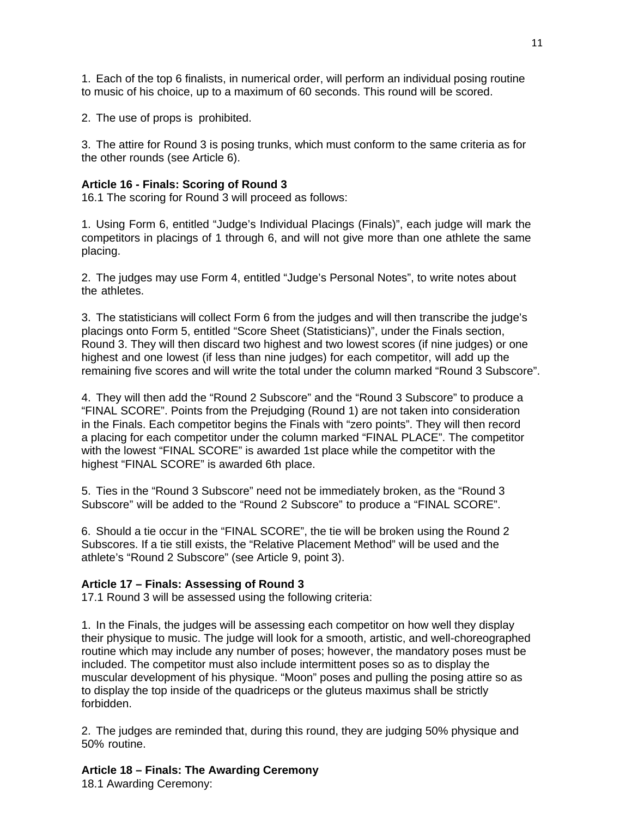1. Each of the top 6 finalists, in numerical order, will perform an individual posing routine to music of his choice, up to a maximum of 60 seconds. This round will be scored.

2. The use of props is prohibited.

3. The attire for Round 3 is posing trunks, which must conform to the same criteria as for the other rounds (see Article 6).

#### **Article 16 - Finals: Scoring of Round 3**

16.1 The scoring for Round 3 will proceed as follows:

1. Using Form 6, entitled "Judge's Individual Placings (Finals)", each judge will mark the competitors in placings of 1 through 6, and will not give more than one athlete the same placing.

2. The judges may use Form 4, entitled "Judge's Personal Notes", to write notes about the athletes.

3. The statisticians will collect Form 6 from the judges and will then transcribe the judge's placings onto Form 5, entitled "Score Sheet (Statisticians)", under the Finals section, Round 3. They will then discard two highest and two lowest scores (if nine judges) or one highest and one lowest (if less than nine judges) for each competitor, will add up the remaining five scores and will write the total under the column marked "Round 3 Subscore".

4. They will then add the "Round 2 Subscore" and the "Round 3 Subscore" to produce a "FINAL SCORE". Points from the Prejudging (Round 1) are not taken into consideration in the Finals. Each competitor begins the Finals with "zero points". They will then record a placing for each competitor under the column marked "FINAL PLACE". The competitor with the lowest "FINAL SCORE" is awarded 1st place while the competitor with the highest "FINAL SCORE" is awarded 6th place.

5. Ties in the "Round 3 Subscore" need not be immediately broken, as the "Round 3 Subscore" will be added to the "Round 2 Subscore" to produce a "FINAL SCORE".

6. Should a tie occur in the "FINAL SCORE", the tie will be broken using the Round 2 Subscores. If a tie still exists, the "Relative Placement Method" will be used and the athlete's "Round 2 Subscore" (see Article 9, point 3).

#### **Article 17 – Finals: Assessing of Round 3**

17.1 Round 3 will be assessed using the following criteria:

1. In the Finals, the judges will be assessing each competitor on how well they display their physique to music. The judge will look for a smooth, artistic, and well-choreographed routine which may include any number of poses; however, the mandatory poses must be included. The competitor must also include intermittent poses so as to display the muscular development of his physique. "Moon" poses and pulling the posing attire so as to display the top inside of the quadriceps or the gluteus maximus shall be strictly forbidden.

2. The judges are reminded that, during this round, they are judging 50% physique and 50% routine.

#### **Article 18 – Finals: The Awarding Ceremony**

18.1 Awarding Ceremony: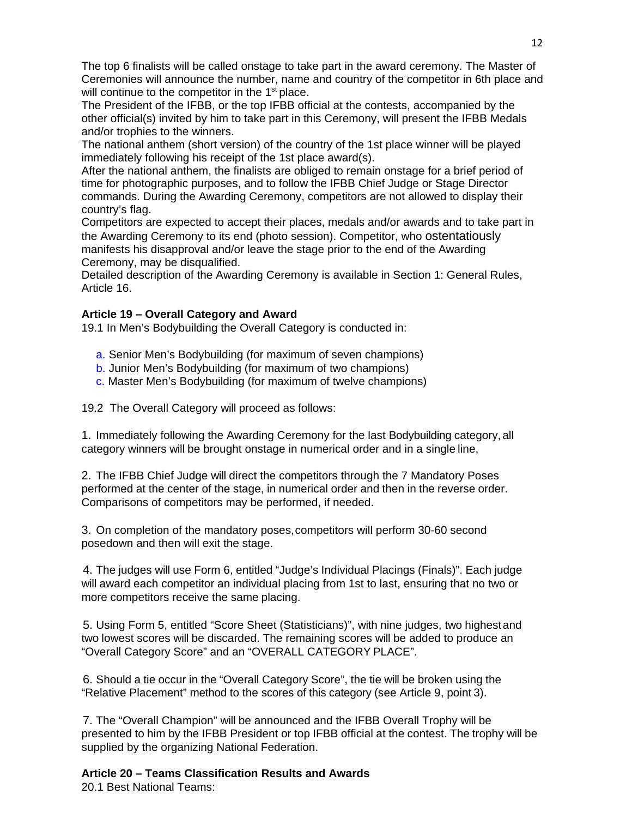The top 6 finalists will be called onstage to take part in the award ceremony. The Master of Ceremonies will announce the number, name and country of the competitor in 6th place and will continue to the competitor in the 1<sup>st</sup> place.

The President of the IFBB, or the top IFBB official at the contests, accompanied by the other official(s) invited by him to take part in this Ceremony, will present the IFBB Medals and/or trophies to the winners.

The national anthem (short version) of the country of the 1st place winner will be played immediately following his receipt of the 1st place award(s).

After the national anthem, the finalists are obliged to remain onstage for a brief period of time for photographic purposes, and to follow the IFBB Chief Judge or Stage Director commands. During the Awarding Ceremony, competitors are not allowed to display their country's flag.

Competitors are expected to accept their places, medals and/or awards and to take part in the Awarding Ceremony to its end (photo session). Competitor, who ostentatiously manifests his disapproval and/or leave the stage prior to the end of the Awarding Ceremony, may be disqualified.

Detailed description of the Awarding Ceremony is available in Section 1: General Rules, Article 16.

# **Article 19 – Overall Category and Award**

19.1 In Men's Bodybuilding the Overall Category is conducted in:

- a. Senior Men's Bodybuilding (for maximum of seven champions)
- b. Junior Men's Bodybuilding (for maximum of two champions)
- c. Master Men's Bodybuilding (for maximum of twelve champions)

19.2 The Overall Category will proceed as follows:

1. Immediately following the Awarding Ceremony for the last Bodybuilding category,all category winners will be brought onstage in numerical order and in a single line,

2. The IFBB Chief Judge will direct the competitors through the 7 Mandatory Poses performed at the center of the stage, in numerical order and then in the reverse order. Comparisons of competitors may be performed, if needed.

3. On completion of the mandatory poses,competitors will perform 30-60 second posedown and then will exit the stage.

4. The judges will use Form 6, entitled "Judge's Individual Placings (Finals)". Each judge will award each competitor an individual placing from 1st to last, ensuring that no two or more competitors receive the same placing.

5. Using Form 5, entitled "Score Sheet (Statisticians)", with nine judges, two highestand two lowest scores will be discarded. The remaining scores will be added to produce an "Overall Category Score" and an "OVERALL CATEGORY PLACE".

6. Should a tie occur in the "Overall Category Score", the tie will be broken using the "Relative Placement" method to the scores of this category (see Article 9, point 3).

7. The "Overall Champion" will be announced and the IFBB Overall Trophy will be presented to him by the IFBB President or top IFBB official at the contest. The trophy will be supplied by the organizing National Federation.

# **Article 20 – Teams Classification Results and Awards**

20.1 Best National Teams: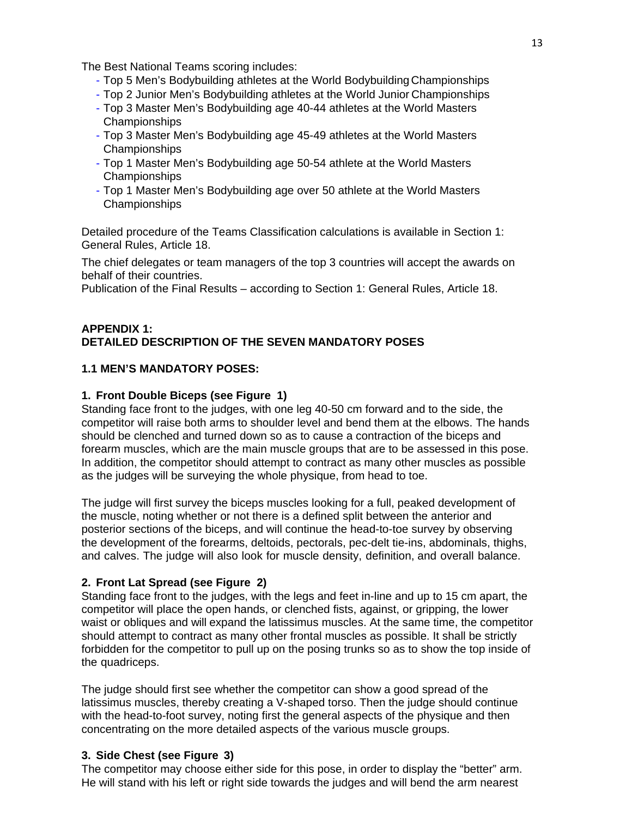The Best National Teams scoring includes:

- Top 5 Men's Bodybuilding athletes at the World Bodybuilding Championships
- Top 2 Junior Men's Bodybuilding athletes at the World Junior Championships
- Top 3 Master Men's Bodybuilding age 40-44 athletes at the World Masters Championships
- Top 3 Master Men's Bodybuilding age 45-49 athletes at the World Masters Championships
- Top 1 Master Men's Bodybuilding age 50-54 athlete at the World Masters Championships
- Top 1 Master Men's Bodybuilding age over 50 athlete at the World Masters Championships

Detailed procedure of the Teams Classification calculations is available in Section 1: General Rules, Article 18.

The chief delegates or team managers of the top 3 countries will accept the awards on behalf of their countries.

Publication of the Final Results – according to Section 1: General Rules, Article 18.

#### **APPENDIX 1: DETAILED DESCRIPTION OF THE SEVEN MANDATORY POSES**

#### **1.1 MEN'S MANDATORY POSES:**

#### **1. Front Double Biceps (see Figure 1)**

Standing face front to the judges, with one leg 40-50 cm forward and to the side, the competitor will raise both arms to shoulder level and bend them at the elbows. The hands should be clenched and turned down so as to cause a contraction of the biceps and forearm muscles, which are the main muscle groups that are to be assessed in this pose. In addition, the competitor should attempt to contract as many other muscles as possible as the judges will be surveying the whole physique, from head to toe.

The judge will first survey the biceps muscles looking for a full, peaked development of the muscle, noting whether or not there is a defined split between the anterior and posterior sections of the biceps, and will continue the head-to-toe survey by observing the development of the forearms, deltoids, pectorals, pec-delt tie-ins, abdominals, thighs, and calves. The judge will also look for muscle density, definition, and overall balance.

#### **2. Front Lat Spread (see Figure 2)**

Standing face front to the judges, with the legs and feet in-line and up to 15 cm apart, the competitor will place the open hands, or clenched fists, against, or gripping, the lower waist or obliques and will expand the latissimus muscles. At the same time, the competitor should attempt to contract as many other frontal muscles as possible. It shall be strictly forbidden for the competitor to pull up on the posing trunks so as to show the top inside of the quadriceps.

The judge should first see whether the competitor can show a good spread of the latissimus muscles, thereby creating a V-shaped torso. Then the judge should continue with the head-to-foot survey, noting first the general aspects of the physique and then concentrating on the more detailed aspects of the various muscle groups.

#### **3. Side Chest (see Figure 3)**

The competitor may choose either side for this pose, in order to display the "better" arm. He will stand with his left or right side towards the judges and will bend the arm nearest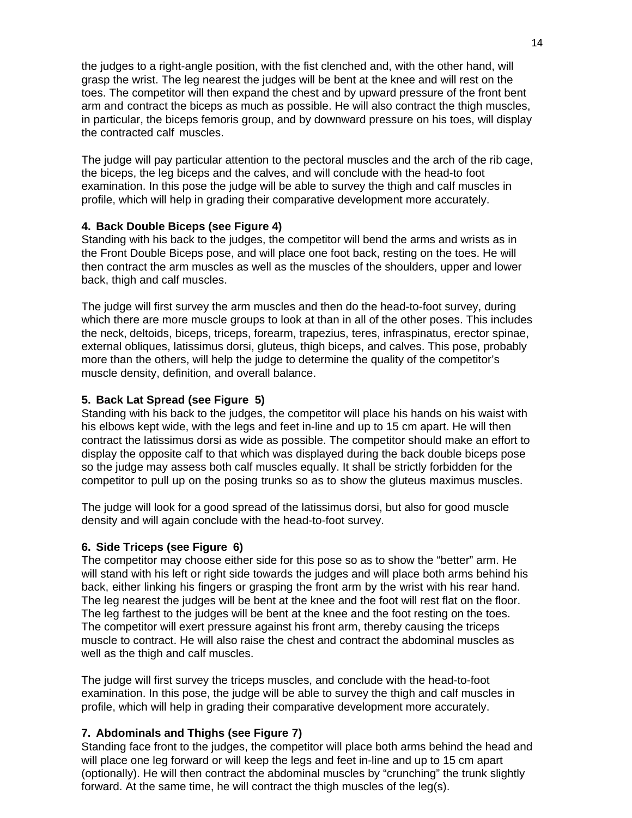the judges to a right-angle position, with the fist clenched and, with the other hand, will grasp the wrist. The leg nearest the judges will be bent at the knee and will rest on the toes. The competitor will then expand the chest and by upward pressure of the front bent arm and contract the biceps as much as possible. He will also contract the thigh muscles, in particular, the biceps femoris group, and by downward pressure on his toes, will display the contracted calf muscles.

The judge will pay particular attention to the pectoral muscles and the arch of the rib cage, the biceps, the leg biceps and the calves, and will conclude with the head-to foot examination. In this pose the judge will be able to survey the thigh and calf muscles in profile, which will help in grading their comparative development more accurately.

#### **4. Back Double Biceps (see Figure 4)**

Standing with his back to the judges, the competitor will bend the arms and wrists as in the Front Double Biceps pose, and will place one foot back, resting on the toes. He will then contract the arm muscles as well as the muscles of the shoulders, upper and lower back, thigh and calf muscles.

The judge will first survey the arm muscles and then do the head-to-foot survey, during which there are more muscle groups to look at than in all of the other poses. This includes the neck, deltoids, biceps, triceps, forearm, trapezius, teres, infraspinatus, erector spinae, external obliques, latissimus dorsi, gluteus, thigh biceps, and calves. This pose, probably more than the others, will help the judge to determine the quality of the competitor's muscle density, definition, and overall balance.

# **5. Back Lat Spread (see Figure 5)**

Standing with his back to the judges, the competitor will place his hands on his waist with his elbows kept wide, with the legs and feet in-line and up to 15 cm apart. He will then contract the latissimus dorsi as wide as possible. The competitor should make an effort to display the opposite calf to that which was displayed during the back double biceps pose so the judge may assess both calf muscles equally. It shall be strictly forbidden for the competitor to pull up on the posing trunks so as to show the gluteus maximus muscles.

The judge will look for a good spread of the latissimus dorsi, but also for good muscle density and will again conclude with the head-to-foot survey.

#### **6. Side Triceps (see Figure 6)**

The competitor may choose either side for this pose so as to show the "better" arm. He will stand with his left or right side towards the judges and will place both arms behind his back, either linking his fingers or grasping the front arm by the wrist with his rear hand. The leg nearest the judges will be bent at the knee and the foot will rest flat on the floor. The leg farthest to the judges will be bent at the knee and the foot resting on the toes. The competitor will exert pressure against his front arm, thereby causing the triceps muscle to contract. He will also raise the chest and contract the abdominal muscles as well as the thigh and calf muscles.

The judge will first survey the triceps muscles, and conclude with the head-to-foot examination. In this pose, the judge will be able to survey the thigh and calf muscles in profile, which will help in grading their comparative development more accurately.

# **7. Abdominals and Thighs (see Figure 7)**

Standing face front to the judges, the competitor will place both arms behind the head and will place one leg forward or will keep the legs and feet in-line and up to 15 cm apart (optionally). He will then contract the abdominal muscles by "crunching" the trunk slightly forward. At the same time, he will contract the thigh muscles of the leg(s).